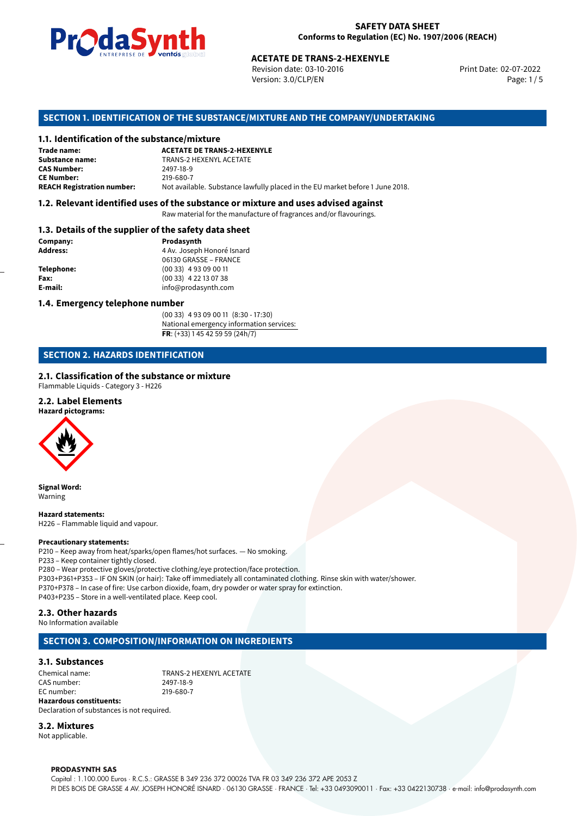

Revision date: 03-10-2016 Version: 3.0/CLP/EN Page: 1 / 5

Print Date: 02-07-2022

# **SECTION 1. IDENTIFICATION OF THE SUBSTANCE/MIXTURE AND THE COMPANY/UNDERTAKING**

# **1.1. Identification of the substance/mixture**

|                                              | LIVING PLUG LIVE VOID US SUSSESSION | <b>ACETATE DE TRANS-2-HEXENYLE</b><br>Revision date: 03-10-2016<br>Version: 3.0/CLP/EN |
|----------------------------------------------|-------------------------------------|----------------------------------------------------------------------------------------|
|                                              |                                     | SECTION 1. IDENTIFICATION OF THE SUBSTANCE/MIXTURE AND THE COMPANY/UNDERTAKI           |
| 1.1. Identification of the substance/mixture |                                     |                                                                                        |
| Trade name:                                  | <b>ACETATE DE TRANS-2-HEXENYLE</b>  |                                                                                        |
| <b>Substance name:</b>                       | <b>TRANS-2 HEXENYL ACETATE</b>      |                                                                                        |
| <b>CAS Number:</b>                           | 2497-18-9                           |                                                                                        |
| <b>CE Number:</b>                            | 219-680-7                           |                                                                                        |
| <b>REACH Registration number:</b>            |                                     | Not available. Substance lawfully placed in the EU market before 1 June 2018.          |
|                                              |                                     |                                                                                        |

### **1.2. Relevant identified uses of the substance or mixture and uses advised against**

Raw material for the manufacture of fragrances and/or flavourings.

# **1.3. Details of the supplier of the safety data sheet**

| Company:        | Prodasynth                 |  |
|-----------------|----------------------------|--|
| <b>Address:</b> | 4 Av. Joseph Honoré Isnard |  |
|                 | 06130 GRASSE - FRANCE      |  |
| Telephone:      | $(0033)$ 4 93 09 00 11     |  |
| Fax:            | $(0033)$ 4 22 13 07 38     |  |
| E-mail:         | info@prodasynth.com        |  |
|                 |                            |  |

# **1.4. Emergency telephone number**

(00 33) 4 93 09 00 11 (8:30 - 17:30) National emergency information services: **FR**: (+33) 1 45 42 59 59 (24h/7)

# **SECTION 2. HAZARDS IDENTIFICATION**

# **2.1. Classification of the substance or mixture**

Flammable Liquids - Category 3 - H226

# **2.2. Label Elements**

**Hazard pictograms:**



**Signal Word:** Warning

**Hazard statements:** H226 – Flammable liquid and vapour.

#### **Precautionary statements:**

P210 – Keep away from heat/sparks/open flames/hot surfaces. — No smoking. P233 – Keep container tightly closed. P280 – Wear protective gloves/protective clothing/eye protection/face protection. P303+P361+P353 – IF ON SKIN (or hair): Take off immediately all contaminated clothing. Rinse skin with water/shower. P370+P378 – In case of fire: Use carbon dioxide, foam, dry powder or water spray for extinction. P403+P235 – Store in a well-ventilated place. Keep cool.

# **2.3. Other hazards**

No Information available

# **SECTION 3. COMPOSITION/INFORMATION ON INGREDIENTS**

# **3.1. Substances**

Chemical name: TRANS-2 HEXENYL ACETATE<br>CAS number: 2497-18-9 CAS number: EC number: 219-680-7 **Hazardous constituents:**

# Declaration of substances is not required.

**3.2. Mixtures** Not applicable.

# **PRODASYNTH SAS**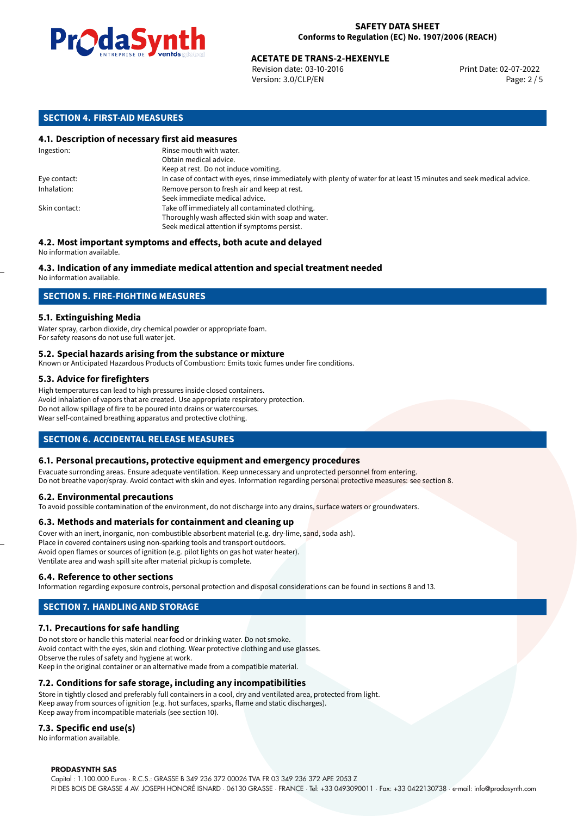

# **ACETATE DE TRANS-2-HEXENYLE**<br>
Revision date: 03-10-2016<br>
Print Date: 02-07-2022

Revision date: 03-10-2016 Version: 3.0/CLP/EN Page: 2 / 5

# **SECTION 4. FIRST-AID MEASURES**

# **4.1. Description of necessary first aid measures**

| Ingestion:    | Rinse mouth with water.<br>Obtain medical advice.                                                                     |
|---------------|-----------------------------------------------------------------------------------------------------------------------|
|               | Keep at rest. Do not induce vomiting.                                                                                 |
| Eye contact:  | In case of contact with eyes, rinse immediately with plenty of water for at least 15 minutes and seek medical advice. |
| Inhalation:   | Remove person to fresh air and keep at rest.                                                                          |
|               | Seek immediate medical advice.                                                                                        |
| Skin contact: | Take off immediately all contaminated clothing.                                                                       |
|               | Thoroughly wash affected skin with soap and water.                                                                    |
|               | Seek medical attention if symptoms persist.                                                                           |

#### **4.2. Most important symptoms and effects, both acute and delayed** No information available.

# **4.3. Indication of any immediate medical attention and special treatment needed**

No information available.

# **SECTION 5. FIRE-FIGHTING MEASURES**

# **5.1. Extinguishing Media**

Water spray, carbon dioxide, dry chemical powder or appropriate foam. For safety reasons do not use full water jet.

# **5.2. Special hazards arising from the substance or mixture**

Known or Anticipated Hazardous Products of Combustion: Emits toxic fumes under fire conditions.

# **5.3. Advice for firefighters**

High temperatures can lead to high pressures inside closed containers. Avoid inhalation of vapors that are created. Use appropriate respiratory protection. Do not allow spillage of fire to be poured into drains or watercourses. Wear self-contained breathing apparatus and protective clothing.

# **SECTION 6. ACCIDENTAL RELEASE MEASURES**

# **6.1. Personal precautions, protective equipment and emergency procedures**

Evacuate surronding areas. Ensure adequate ventilation. Keep unnecessary and unprotected personnel from entering. Do not breathe vapor/spray. Avoid contact with skin and eyes. Information regarding personal protective measures: see section 8.

#### **6.2. Environmental precautions**

To avoid possible contamination of the environment, do not discharge into any drains, surface waters or groundwaters.

#### **6.3. Methods and materials for containment and cleaning up**

Cover with an inert, inorganic, non-combustible absorbent material (e.g. dry-lime, sand, soda ash). Place in covered containers using non-sparking tools and transport outdoors. Avoid open flames or sources of ignition (e.g. pilot lights on gas hot water heater). Ventilate area and wash spill site after material pickup is complete.

#### **6.4. Reference to other sections**

Information regarding exposure controls, personal protection and disposal considerations can be found in sections 8 and 13.

# **SECTION 7. HANDLING AND STORAGE**

# **7.1. Precautions for safe handling**

Do not store or handle this material near food or drinking water. Do not smoke. Avoid contact with the eyes, skin and clothing. Wear protective clothing and use glasses. Observe the rules of safety and hygiene at work. Keep in the original container or an alternative made from a compatible material.

# **7.2. Conditions for safe storage, including any incompatibilities**

Store in tightly closed and preferably full containers in a cool, dry and ventilated area, protected from light. Keep away from sources of ignition (e.g. hot surfaces, sparks, flame and static discharges). Keep away from incompatible materials (see section 10).

# **7.3. Specific end use(s)**

No information available.

#### **PRODASYNTH SAS**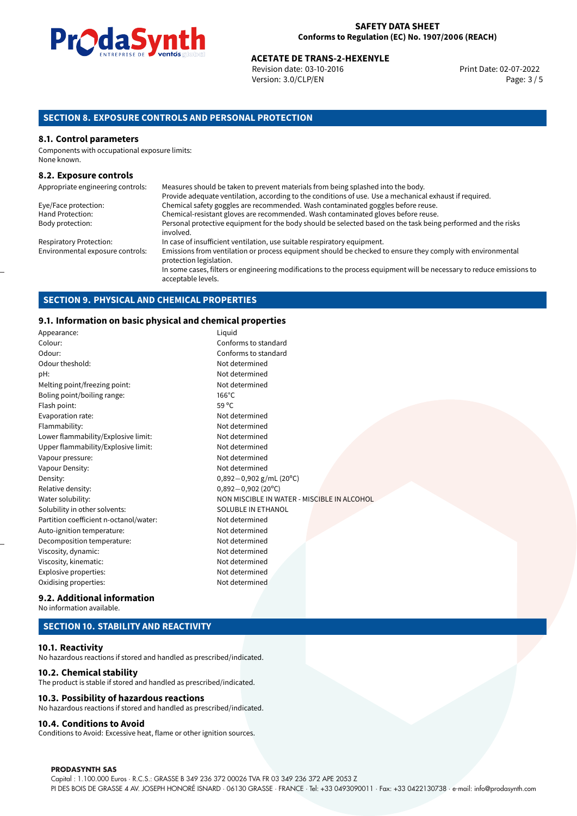

# **ACETATE DE TRANS-2-HEXENYLE**<br>Revision date: 03-10-2016 **Access 2-07-2022** Print Date: 02-07-2022

Revision date: 03-10-2016 Version: 3.0/CLP/EN Page: 3 / 5

# **SECTION 8. EXPOSURE CONTROLS AND PERSONAL PROTECTION**

# **8.1. Control parameters**

Components with occupational exposure limits: None known.

### **8.2. Exposure controls**

| Appropriate engineering controls: | Measures should be taken to prevent materials from being splashed into the body.                                                            |
|-----------------------------------|---------------------------------------------------------------------------------------------------------------------------------------------|
|                                   | Provide adequate ventilation, according to the conditions of use. Use a mechanical exhaust if required.                                     |
| Eye/Face protection:              | Chemical safety goggles are recommended. Wash contaminated goggles before reuse.                                                            |
| Hand Protection:                  | Chemical-resistant gloves are recommended. Wash contaminated gloves before reuse.                                                           |
| Body protection:                  | Personal protective equipment for the body should be selected based on the task being performed and the risks<br>involved.                  |
| <b>Respiratory Protection:</b>    | In case of insufficient ventilation, use suitable respiratory equipment.                                                                    |
| Environmental exposure controls:  | Emissions from ventilation or process equipment should be checked to ensure they comply with environmental<br>protection legislation.       |
|                                   | In some cases, filters or engineering modifications to the process equipment will be necessary to reduce emissions to<br>acceptable levels. |

# **SECTION 9. PHYSICAL AND CHEMICAL PROPERTIES**

# **9.1. Information on basic physical and chemical properties**

|                   | 9.1. THOFFINATION ON DASIC PHYSICAL AND CHEMICAL Proper Lies |                                             |  |  |  |
|-------------------|--------------------------------------------------------------|---------------------------------------------|--|--|--|
|                   | Appearance:                                                  | Liguid                                      |  |  |  |
|                   | Colour:                                                      | Conforms to standard                        |  |  |  |
|                   | Odour:                                                       | Conforms to standard                        |  |  |  |
|                   | Odour theshold:                                              | Not determined                              |  |  |  |
|                   | pH:                                                          | Not determined                              |  |  |  |
|                   | Melting point/freezing point:                                | Not determined                              |  |  |  |
|                   | Boling point/boiling range:                                  | $166^{\circ}$ C                             |  |  |  |
|                   | Flash point:                                                 | 59 $^{\circ}$ C                             |  |  |  |
|                   | Evaporation rate:                                            | Not determined                              |  |  |  |
|                   | Flammability:                                                | Not determined                              |  |  |  |
|                   | Lower flammability/Explosive limit:                          | Not determined                              |  |  |  |
|                   | Upper flammability/Explosive limit:                          | Not determined                              |  |  |  |
|                   | Vapour pressure:                                             | Not determined                              |  |  |  |
|                   | Vapour Density:                                              | Not determined                              |  |  |  |
|                   | Density:                                                     | $0,892-0,902$ g/mL (20°C)                   |  |  |  |
|                   | Relative density:                                            | $0,892 - 0,902$ (20°C)                      |  |  |  |
| Water solubility: |                                                              | NON MISCIBLE IN WATER - MISCIBLE IN ALCOHOL |  |  |  |
|                   | Solubility in other solvents:                                | SOLUBLE IN ETHANOL                          |  |  |  |
|                   | Partition coefficient n-octanol/water:                       | Not determined                              |  |  |  |
|                   | Auto-ignition temperature:                                   | Not determined                              |  |  |  |
|                   | Decomposition temperature:                                   | Not determined                              |  |  |  |
|                   | Viscosity, dynamic:                                          | Not determined                              |  |  |  |
|                   | Viscosity, kinematic:                                        | Not determined                              |  |  |  |
|                   | Explosive properties:                                        | Not determined                              |  |  |  |
|                   | Oxidising properties:                                        | Not determined                              |  |  |  |
|                   |                                                              |                                             |  |  |  |

#### **9.2. Additional information** No information available.

# **SECTION 10. STABILITY AND REACTIVITY**

# **10.1. Reactivity**

No hazardous reactions if stored and handled as prescribed/indicated.

# **10.2. Chemical stability**

The product is stable if stored and handled as prescribed/indicated.

# **10.3. Possibility of hazardous reactions**

No hazardous reactions if stored and handled as prescribed/indicated.

### **10.4. Conditions to Avoid**

Conditions to Avoid: Excessive heat, flame or other ignition sources.

#### **PRODASYNTH SAS**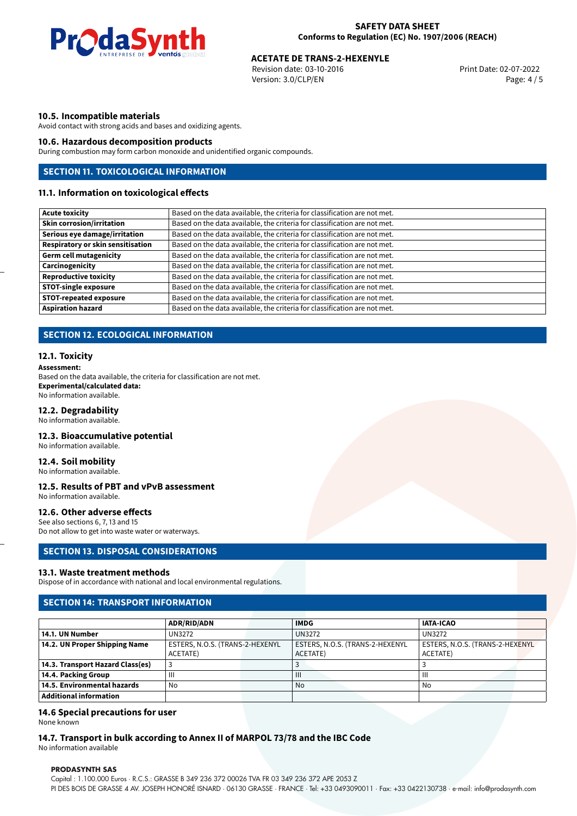

# **ACETATE DE TRANS-2-HEXENYLE**<br>
Revision date: 03-10-2016<br>
Print Date: 02-07-2022

Revision date: 03-10-2016 Version: 3.0/CLP/EN Page: 4 / 5

# **10.5. Incompatible materials**

Avoid contact with strong acids and bases and oxidizing agents.

# **10.6. Hazardous decomposition products**

During combustion may form carbon monoxide and unidentified organic compounds.

# **SECTION 11. TOXICOLOGICAL INFORMATION**

# **11.1. Information on toxicological effects**

| <b>Acute toxicity</b>                    | Based on the data available, the criteria for classification are not met. |
|------------------------------------------|---------------------------------------------------------------------------|
| <b>Skin corrosion/irritation</b>         | Based on the data available, the criteria for classification are not met. |
| Serious eye damage/irritation            | Based on the data available, the criteria for classification are not met. |
| <b>Respiratory or skin sensitisation</b> | Based on the data available, the criteria for classification are not met. |
| <b>Germ cell mutagenicity</b>            | Based on the data available, the criteria for classification are not met. |
| Carcinogenicity                          | Based on the data available, the criteria for classification are not met. |
| <b>Reproductive toxicity</b>             | Based on the data available, the criteria for classification are not met. |
| <b>STOT-single exposure</b>              | Based on the data available, the criteria for classification are not met. |
| <b>STOT-repeated exposure</b>            | Based on the data available, the criteria for classification are not met. |
| <b>Aspiration hazard</b>                 | Based on the data available, the criteria for classification are not met. |

# **SECTION 12. ECOLOGICAL INFORMATION**

# **12.1. Toxicity**

**Assessment:** Based on the data available, the criteria for classification are not met. **Experimental/calculated data:** No information available.

# **12.2. Degradability**

No information available.

#### **12.3. Bioaccumulative potential**

No information available.

# **12.4. Soil mobility**

No information available.

# **12.5. Results of PBT and vPvB assessment**

No information available.

# **12.6. Other adverse effects**

See also sections 6, 7, 13 and 15 Do not allow to get into waste water or waterways.

# **SECTION 13. DISPOSAL CONSIDERATIONS**

#### **13.1. Waste treatment methods**

Dispose of in accordance with national and local environmental regulations.

# **SECTION 14: TRANSPORT INFORMATION**

|                                  | <b>ADR/RID/ADN</b>              | <b>IMDG</b>                     | <b>IATA-ICAO</b>                |
|----------------------------------|---------------------------------|---------------------------------|---------------------------------|
| 14.1. UN Number                  | UN3272                          | <b>UN3272</b>                   | UN3272                          |
| 14.2. UN Proper Shipping Name    | ESTERS, N.O.S. (TRANS-2-HEXENYL | ESTERS, N.O.S. (TRANS-2-HEXENYL | ESTERS, N.O.S. (TRANS-2-HEXENYL |
|                                  | ACETATE)                        | ACETATE)                        | ACETATE)                        |
| 14.3. Transport Hazard Class(es) |                                 |                                 |                                 |
| 14.4. Packing Group              | Ш                               | Ш                               | Ш                               |
| 14.5. Environmental hazards      | No                              | No                              | No                              |
| Additional information           |                                 |                                 |                                 |

#### **14.6 Special precautions for user**

None known

# **14.7. Transport in bulk according to Annex II of MARPOL 73/78 and the IBC Code**

No information available

#### **PRODASYNTH SAS**